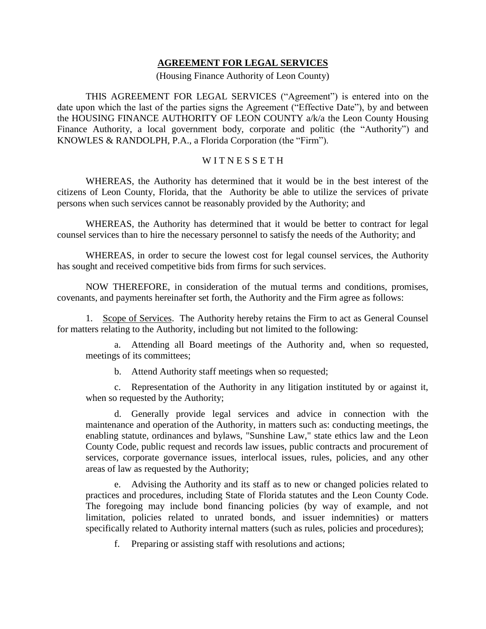## **AGREEMENT FOR LEGAL SERVICES**

## (Housing Finance Authority of Leon County)

THIS AGREEMENT FOR LEGAL SERVICES ("Agreement") is entered into on the date upon which the last of the parties signs the Agreement ("Effective Date"), by and between the HOUSING FINANCE AUTHORITY OF LEON COUNTY a/k/a the Leon County Housing Finance Authority, a local government body, corporate and politic (the "Authority") and KNOWLES & RANDOLPH, P.A., a Florida Corporation (the "Firm").

## WITNESSETH

WHEREAS, the Authority has determined that it would be in the best interest of the citizens of Leon County, Florida, that the Authority be able to utilize the services of private persons when such services cannot be reasonably provided by the Authority; and

WHEREAS, the Authority has determined that it would be better to contract for legal counsel services than to hire the necessary personnel to satisfy the needs of the Authority; and

WHEREAS, in order to secure the lowest cost for legal counsel services, the Authority has sought and received competitive bids from firms for such services.

NOW THEREFORE, in consideration of the mutual terms and conditions, promises, covenants, and payments hereinafter set forth, the Authority and the Firm agree as follows:

<span id="page-0-0"></span>1. Scope of Services. The Authority hereby retains the Firm to act as General Counsel for matters relating to the Authority, including but not limited to the following:

a. Attending all Board meetings of the Authority and, when so requested, meetings of its committees;

b. Attend Authority staff meetings when so requested;

c. Representation of the Authority in any litigation instituted by or against it, when so requested by the Authority;

d. Generally provide legal services and advice in connection with the maintenance and operation of the Authority, in matters such as: conducting meetings, the enabling statute, ordinances and bylaws, "Sunshine Law," state ethics law and the Leon County Code, public request and records law issues, public contracts and procurement of services, corporate governance issues, interlocal issues, rules, policies, and any other areas of law as requested by the Authority;

e. Advising the Authority and its staff as to new or changed policies related to practices and procedures, including State of Florida statutes and the Leon County Code. The foregoing may include bond financing policies (by way of example, and not limitation, policies related to unrated bonds, and issuer indemnities) or matters specifically related to Authority internal matters (such as rules, policies and procedures);

f. Preparing or assisting staff with resolutions and actions;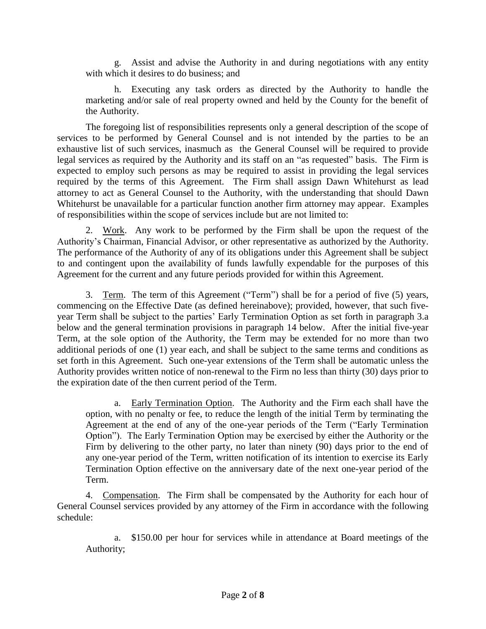g. Assist and advise the Authority in and during negotiations with any entity with which it desires to do business; and

h. Executing any task orders as directed by the Authority to handle the marketing and/or sale of real property owned and held by the County for the benefit of the Authority.

The foregoing list of responsibilities represents only a general description of the scope of services to be performed by General Counsel and is not intended by the parties to be an exhaustive list of such services, inasmuch as the General Counsel will be required to provide legal services as required by the Authority and its staff on an "as requested" basis. The Firm is expected to employ such persons as may be required to assist in providing the legal services required by the terms of this Agreement. The Firm shall assign Dawn Whitehurst as lead attorney to act as General Counsel to the Authority, with the understanding that should Dawn Whitehurst be unavailable for a particular function another firm attorney may appear. Examples of responsibilities within the scope of services include but are not limited to:

2. Work. Any work to be performed by the Firm shall be upon the request of the Authority's Chairman, Financial Advisor, or other representative as authorized by the Authority. The performance of the Authority of any of its obligations under this Agreement shall be subject to and contingent upon the availability of funds lawfully expendable for the purposes of this Agreement for the current and any future periods provided for within this Agreement.

3. Term. The term of this Agreement ("Term") shall be for a period of five (5) years, commencing on the Effective Date (as defined hereinabove); provided, however, that such fiveyear Term shall be subject to the parties' Early Termination Option as set forth in paragraph [3.a](#page-1-0)  [below](#page-1-0) and the general termination provisions in paragraph [14 below.](#page-6-0) After the initial five-year Term, at the sole option of the Authority, the Term may be extended for no more than two additional periods of one (1) year each, and shall be subject to the same terms and conditions as set forth in this Agreement. Such one-year extensions of the Term shall be automatic unless the Authority provides written notice of non-renewal to the Firm no less than thirty (30) days prior to the expiration date of the then current period of the Term.

<span id="page-1-0"></span>a. Early Termination Option. The Authority and the Firm each shall have the option, with no penalty or fee, to reduce the length of the initial Term by terminating the Agreement at the end of any of the one-year periods of the Term ("Early Termination Option"). The Early Termination Option may be exercised by either the Authority or the Firm by delivering to the other party, no later than ninety (90) days prior to the end of any one-year period of the Term, written notification of its intention to exercise its Early Termination Option effective on the anniversary date of the next one-year period of the Term.

<span id="page-1-1"></span>4. Compensation. The Firm shall be compensated by the Authority for each hour of General Counsel services provided by any attorney of the Firm in accordance with the following schedule:

a. \$150.00 per hour for services while in attendance at Board meetings of the Authority;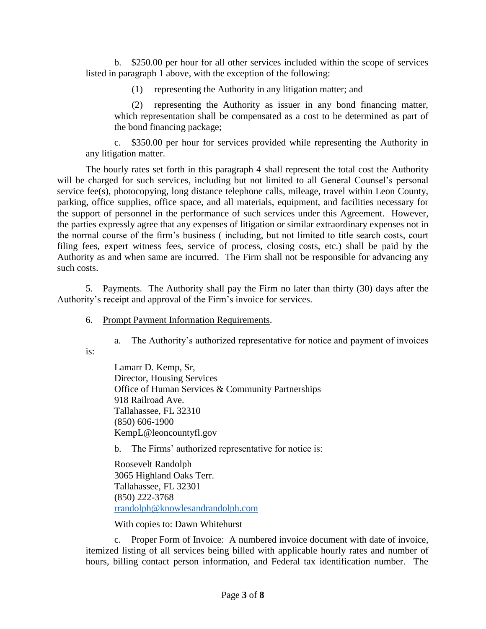b. \$250.00 per hour for all other services included within the scope of services listed in paragraph [1 above,](#page-0-0) with the exception of the following:

(1) representing the Authority in any litigation matter; and

(2) representing the Authority as issuer in any bond financing matter, which representation shall be compensated as a cost to be determined as part of the bond financing package;

c. \$350.00 per hour for services provided while representing the Authority in any litigation matter.

The hourly rates set forth in this paragraph [4](#page-1-1) shall represent the total cost the Authority will be charged for such services, including but not limited to all General Counsel's personal service fee(s), photocopying, long distance telephone calls, mileage, travel within Leon County, parking, office supplies, office space, and all materials, equipment, and facilities necessary for the support of personnel in the performance of such services under this Agreement. However, the parties expressly agree that any expenses of litigation or similar extraordinary expenses not in the normal course of the firm's business ( including, but not limited to title search costs, court filing fees, expert witness fees, service of process, closing costs, etc.) shall be paid by the Authority as and when same are incurred. The Firm shall not be responsible for advancing any such costs.

5. Payments. The Authority shall pay the Firm no later than thirty (30) days after the Authority's receipt and approval of the Firm's invoice for services.

6. Prompt Payment Information Requirements.

a. The Authority's authorized representative for notice and payment of invoices

<span id="page-2-0"></span>is:

Lamarr D. Kemp, Sr, Director, Housing Services Office of Human Services & Community Partnerships 918 Railroad Ave. Tallahassee, FL 32310 (850) 606-1900 KempL@leoncountyfl.gov

b. The Firms' authorized representative for notice is:

Roosevelt Randolph 3065 Highland Oaks Terr. Tallahassee, FL 32301 (850) 222-3768 [rrandolph@knowlesandrandolph.com](mailto:rrandolph@knowlesandrandolph.com)

With copies to: Dawn Whitehurst

c. Proper Form of Invoice: A numbered invoice document with date of invoice, itemized listing of all services being billed with applicable hourly rates and number of hours, billing contact person information, and Federal tax identification number. The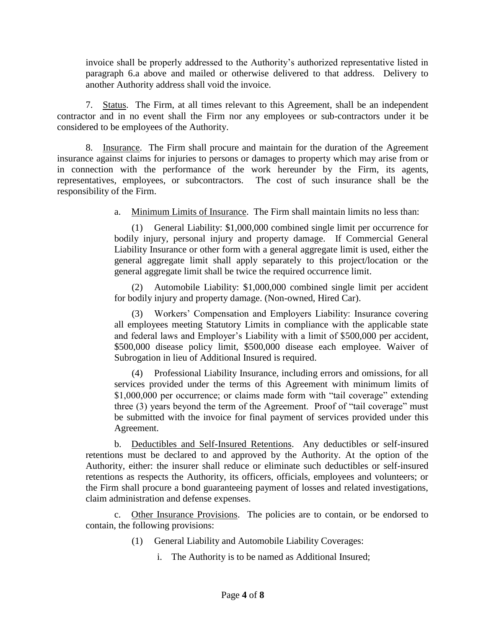invoice shall be properly addressed to the Authority's authorized representative listed in paragraph [6.a above](#page-2-0) and mailed or otherwise delivered to that address. Delivery to another Authority address shall void the invoice.

7. Status. The Firm, at all times relevant to this Agreement, shall be an independent contractor and in no event shall the Firm nor any employees or sub-contractors under it be considered to be employees of the Authority.

8. Insurance. The Firm shall procure and maintain for the duration of the Agreement insurance against claims for injuries to persons or damages to property which may arise from or in connection with the performance of the work hereunder by the Firm, its agents, representatives, employees, or subcontractors. The cost of such insurance shall be the responsibility of the Firm.

a. Minimum Limits of Insurance. The Firm shall maintain limits no less than:

(1) General Liability: \$1,000,000 combined single limit per occurrence for bodily injury, personal injury and property damage. If Commercial General Liability Insurance or other form with a general aggregate limit is used, either the general aggregate limit shall apply separately to this project/location or the general aggregate limit shall be twice the required occurrence limit.

(2) Automobile Liability: \$1,000,000 combined single limit per accident for bodily injury and property damage. (Non-owned, Hired Car).

(3) Workers' Compensation and Employers Liability: Insurance covering all employees meeting Statutory Limits in compliance with the applicable state and federal laws and Employer's Liability with a limit of \$500,000 per accident, \$500,000 disease policy limit, \$500,000 disease each employee. Waiver of Subrogation in lieu of Additional Insured is required.

(4) Professional Liability Insurance, including errors and omissions, for all services provided under the terms of this Agreement with minimum limits of \$1,000,000 per occurrence; or claims made form with "tail coverage" extending three (3) years beyond the term of the Agreement. Proof of "tail coverage" must be submitted with the invoice for final payment of services provided under this Agreement.

b. Deductibles and Self-Insured Retentions. Any deductibles or self-insured retentions must be declared to and approved by the Authority. At the option of the Authority, either: the insurer shall reduce or eliminate such deductibles or self-insured retentions as respects the Authority, its officers, officials, employees and volunteers; or the Firm shall procure a bond guaranteeing payment of losses and related investigations, claim administration and defense expenses.

c. Other Insurance Provisions. The policies are to contain, or be endorsed to contain, the following provisions:

- (1) General Liability and Automobile Liability Coverages:
	- i. The Authority is to be named as Additional Insured;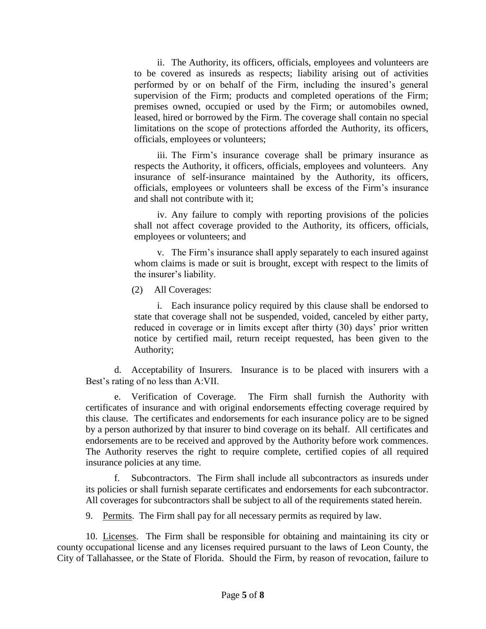ii. The Authority, its officers, officials, employees and volunteers are to be covered as insureds as respects; liability arising out of activities performed by or on behalf of the Firm, including the insured's general supervision of the Firm; products and completed operations of the Firm; premises owned, occupied or used by the Firm; or automobiles owned, leased, hired or borrowed by the Firm. The coverage shall contain no special limitations on the scope of protections afforded the Authority, its officers, officials, employees or volunteers;

iii. The Firm's insurance coverage shall be primary insurance as respects the Authority, it officers, officials, employees and volunteers. Any insurance of self-insurance maintained by the Authority, its officers, officials, employees or volunteers shall be excess of the Firm's insurance and shall not contribute with it;

iv. Any failure to comply with reporting provisions of the policies shall not affect coverage provided to the Authority, its officers, officials, employees or volunteers; and

v. The Firm's insurance shall apply separately to each insured against whom claims is made or suit is brought, except with respect to the limits of the insurer's liability.

(2) All Coverages:

i. Each insurance policy required by this clause shall be endorsed to state that coverage shall not be suspended, voided, canceled by either party, reduced in coverage or in limits except after thirty (30) days' prior written notice by certified mail, return receipt requested, has been given to the Authority;

d. Acceptability of Insurers. Insurance is to be placed with insurers with a Best's rating of no less than A:VII.

e. Verification of Coverage. The Firm shall furnish the Authority with certificates of insurance and with original endorsements effecting coverage required by this clause. The certificates and endorsements for each insurance policy are to be signed by a person authorized by that insurer to bind coverage on its behalf. All certificates and endorsements are to be received and approved by the Authority before work commences. The Authority reserves the right to require complete, certified copies of all required insurance policies at any time.

f. Subcontractors. The Firm shall include all subcontractors as insureds under its policies or shall furnish separate certificates and endorsements for each subcontractor. All coverages for subcontractors shall be subject to all of the requirements stated herein.

9. Permits. The Firm shall pay for all necessary permits as required by law.

10. Licenses. The Firm shall be responsible for obtaining and maintaining its city or county occupational license and any licenses required pursuant to the laws of Leon County, the City of Tallahassee, or the State of Florida. Should the Firm, by reason of revocation, failure to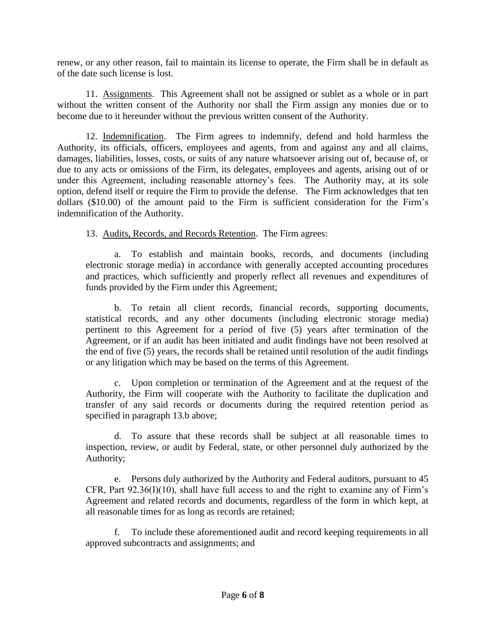renew, or any other reason, fail to maintain its license to operate, the Firm shall be in default as of the date such license is lost.

11. Assignments. This Agreement shall not be assigned or sublet as a whole or in part without the written consent of the Authority nor shall the Firm assign any monies due or to become due to it hereunder without the previous written consent of the Authority.

12. Indemnification. The Firm agrees to indemnify, defend and hold harmless the Authority, its officials, officers, employees and agents, from and against any and all claims, damages, liabilities, losses, costs, or suits of any nature whatsoever arising out of, because of, or due to any acts or omissions of the Firm, its delegates, employees and agents, arising out of or under this Agreement, including reasonable attorney's fees. The Authority may, at its sole option, defend itself or require the Firm to provide the defense. The Firm acknowledges that ten dollars (\$10.00) of the amount paid to the Firm is sufficient consideration for the Firm's indemnification of the Authority.

13. Audits, Records, and Records Retention. The Firm agrees:

a. To establish and maintain books, records, and documents (including electronic storage media) in accordance with generally accepted accounting procedures and practices, which sufficiently and properly reflect all revenues and expenditures of funds provided by the Firm under this Agreement;

<span id="page-5-0"></span>b. To retain all client records, financial records, supporting documents, statistical records, and any other documents (including electronic storage media) pertinent to this Agreement for a period of five (5) years after termination of the Agreement, or if an audit has been initiated and audit findings have not been resolved at the end of five (5) years, the records shall be retained until resolution of the audit findings or any litigation which may be based on the terms of this Agreement.

c. Upon completion or termination of the Agreement and at the request of the Authority, the Firm will cooperate with the Authority to facilitate the duplication and transfer of any said records or documents during the required retention period as specified in paragraph [13.b above;](#page-5-0)

d. To assure that these records shall be subject at all reasonable times to inspection, review, or audit by Federal, state, or other personnel duly authorized by the Authority;

e. Persons duly authorized by the Authority and Federal auditors, pursuant to 45 CFR, Part 92.36(I)(10), shall have full access to and the right to examine any of Firm's Agreement and related records and documents, regardless of the form in which kept, at all reasonable times for as long as records are retained;

f. To include these aforementioned audit and record keeping requirements in all approved subcontracts and assignments; and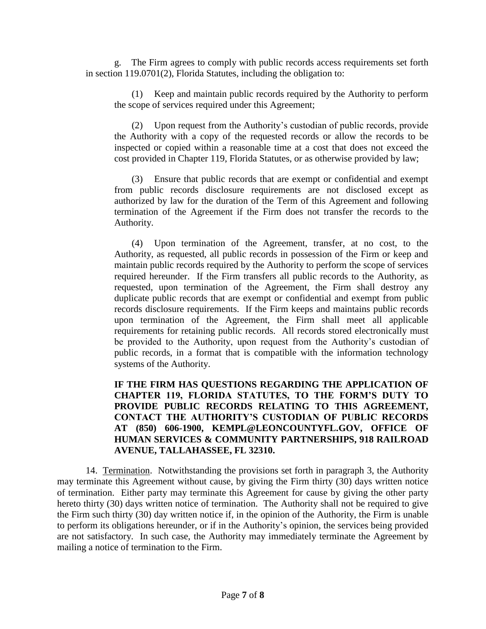g. The Firm agrees to comply with public records access requirements set forth in section 119.0701(2), Florida Statutes, including the obligation to:

(1) Keep and maintain public records required by the Authority to perform the scope of services required under this Agreement;

(2) Upon request from the Authority's custodian of public records, provide the Authority with a copy of the requested records or allow the records to be inspected or copied within a reasonable time at a cost that does not exceed the cost provided in Chapter 119, Florida Statutes, or as otherwise provided by law;

(3) Ensure that public records that are exempt or confidential and exempt from public records disclosure requirements are not disclosed except as authorized by law for the duration of the Term of this Agreement and following termination of the Agreement if the Firm does not transfer the records to the Authority.

(4) Upon termination of the Agreement, transfer, at no cost, to the Authority, as requested, all public records in possession of the Firm or keep and maintain public records required by the Authority to perform the scope of services required hereunder. If the Firm transfers all public records to the Authority, as requested, upon termination of the Agreement, the Firm shall destroy any duplicate public records that are exempt or confidential and exempt from public records disclosure requirements. If the Firm keeps and maintains public records upon termination of the Agreement, the Firm shall meet all applicable requirements for retaining public records. All records stored electronically must be provided to the Authority, upon request from the Authority's custodian of public records, in a format that is compatible with the information technology systems of the Authority.

**IF THE FIRM HAS QUESTIONS REGARDING THE APPLICATION OF CHAPTER 119, FLORIDA STATUTES, TO THE FORM'S DUTY TO PROVIDE PUBLIC RECORDS RELATING TO THIS AGREEMENT, CONTACT THE AUTHORITY'S CUSTODIAN OF PUBLIC RECORDS AT (850) 606-1900, KEMPL@LEONCOUNTYFL.GOV, OFFICE OF HUMAN SERVICES & COMMUNITY PARTNERSHIPS, 918 RAILROAD AVENUE, TALLAHASSEE, FL 32310.**

<span id="page-6-0"></span>14. Termination. Notwithstanding the provisions set forth in paragraph 3, the Authority may terminate this Agreement without cause, by giving the Firm thirty (30) days written notice of termination. Either party may terminate this Agreement for cause by giving the other party hereto thirty (30) days written notice of termination. The Authority shall not be required to give the Firm such thirty (30) day written notice if, in the opinion of the Authority, the Firm is unable to perform its obligations hereunder, or if in the Authority's opinion, the services being provided are not satisfactory. In such case, the Authority may immediately terminate the Agreement by mailing a notice of termination to the Firm.